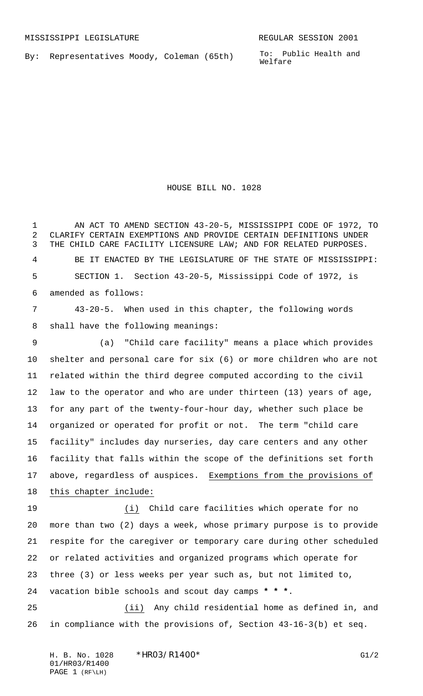By: Representatives Moody, Coleman (65th)

To: Public Health and Welfare

HOUSE BILL NO. 1028

 AN ACT TO AMEND SECTION 43-20-5, MISSISSIPPI CODE OF 1972, TO CLARIFY CERTAIN EXEMPTIONS AND PROVIDE CERTAIN DEFINITIONS UNDER THE CHILD CARE FACILITY LICENSURE LAW; AND FOR RELATED PURPOSES. BE IT ENACTED BY THE LEGISLATURE OF THE STATE OF MISSISSIPPI: SECTION 1. Section 43-20-5, Mississippi Code of 1972, is amended as follows: 43-20-5. When used in this chapter, the following words

shall have the following meanings:

 (a) "Child care facility" means a place which provides shelter and personal care for six (6) or more children who are not related within the third degree computed according to the civil law to the operator and who are under thirteen (13) years of age, for any part of the twenty-four-hour day, whether such place be organized or operated for profit or not. The term "child care facility" includes day nurseries, day care centers and any other facility that falls within the scope of the definitions set forth 17 above, regardless of auspices. Exemptions from the provisions of this chapter include:

 (i) Child care facilities which operate for no more than two (2) days a week, whose primary purpose is to provide respite for the caregiver or temporary care during other scheduled or related activities and organized programs which operate for three (3) or less weeks per year such as, but not limited to, vacation bible schools and scout day camps **\* \* \***.

 (ii) Any child residential home as defined in, and in compliance with the provisions of, Section 43-16-3(b) et seq.

H. B. No. 1028 \*HRO3/R1400\* G1/2 01/HR03/R1400 PAGE 1 (RF\LH)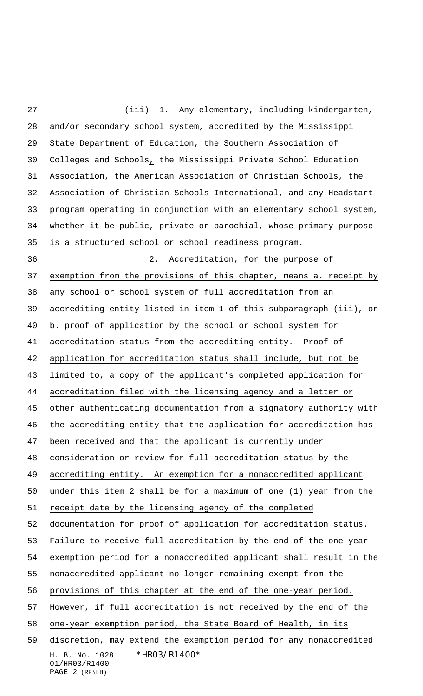H. B. No. 1028 \*HR03/R1400\* 01/HR03/R1400 (iii) 1. Any elementary, including kindergarten, and/or secondary school system, accredited by the Mississippi State Department of Education, the Southern Association of Colleges and Schools, the Mississippi Private School Education Association, the American Association of Christian Schools, the Association of Christian Schools International, and any Headstart program operating in conjunction with an elementary school system, whether it be public, private or parochial, whose primary purpose is a structured school or school readiness program. 2. Accreditation, for the purpose of 37 exemption from the provisions of this chapter, means a. receipt by any school or school system of full accreditation from an accrediting entity listed in item 1 of this subparagraph (iii), or b. proof of application by the school or school system for accreditation status from the accrediting entity. Proof of application for accreditation status shall include, but not be limited to, a copy of the applicant's completed application for accreditation filed with the licensing agency and a letter or other authenticating documentation from a signatory authority with the accrediting entity that the application for accreditation has been received and that the applicant is currently under consideration or review for full accreditation status by the accrediting entity. An exemption for a nonaccredited applicant under this item 2 shall be for a maximum of one (1) year from the 51 receipt date by the licensing agency of the completed documentation for proof of application for accreditation status. Failure to receive full accreditation by the end of the one-year exemption period for a nonaccredited applicant shall result in the nonaccredited applicant no longer remaining exempt from the provisions of this chapter at the end of the one-year period. However, if full accreditation is not received by the end of the one-year exemption period, the State Board of Health, in its discretion, may extend the exemption period for any nonaccredited

```
PAGE 2 (RF\LH)
```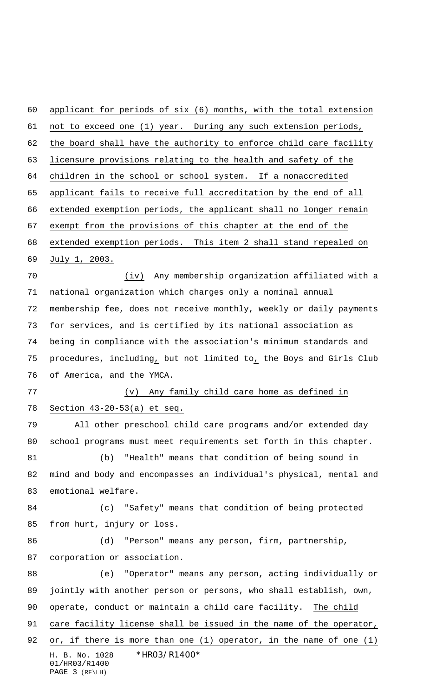applicant for periods of six (6) months, with the total extension not to exceed one (1) year. During any such extension periods, the board shall have the authority to enforce child care facility licensure provisions relating to the health and safety of the children in the school or school system. If a nonaccredited applicant fails to receive full accreditation by the end of all extended exemption periods, the applicant shall no longer remain exempt from the provisions of this chapter at the end of the extended exemption periods. This item 2 shall stand repealed on July 1, 2003. (iv) Any membership organization affiliated with a national organization which charges only a nominal annual membership fee, does not receive monthly, weekly or daily payments for services, and is certified by its national association as being in compliance with the association's minimum standards and procedures, including, but not limited to, the Boys and Girls Club of America, and the YMCA. (v) Any family child care home as defined in Section 43-20-53(a) et seq. All other preschool child care programs and/or extended day school programs must meet requirements set forth in this chapter. (b) "Health" means that condition of being sound in mind and body and encompasses an individual's physical, mental and emotional welfare. (c) "Safety" means that condition of being protected from hurt, injury or loss. (d) "Person" means any person, firm, partnership, corporation or association. (e) "Operator" means any person, acting individually or jointly with another person or persons, who shall establish, own, operate, conduct or maintain a child care facility. The child 91 care facility license shall be issued in the name of the operator,

H. B. No. 1028 \*HR03/R1400\* 01/HR03/R1400 PAGE 3 (RF\LH) 92 or, if there is more than one  $(1)$  operator, in the name of one  $(1)$